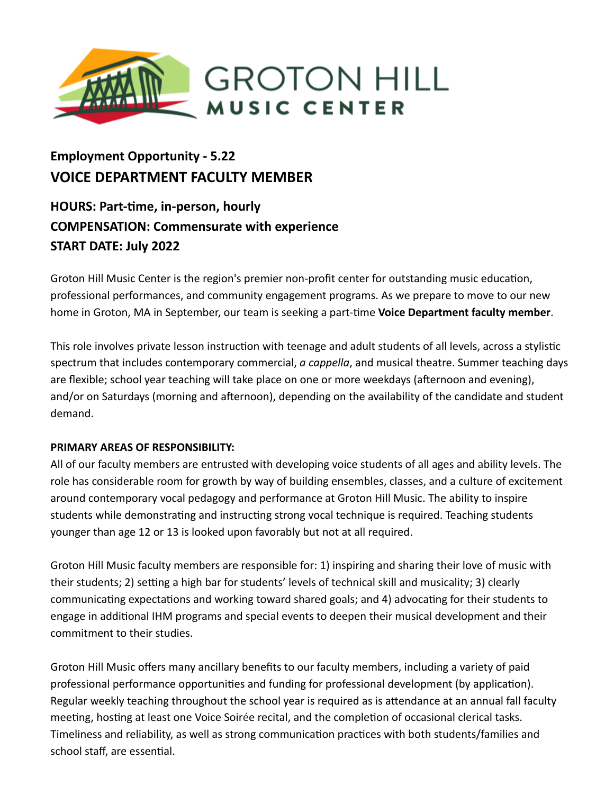

# **Employment Opportunity - 5.22 VOICE DEPARTMENT FACULTY MEMBER**

# **HOURS: Part-me, in-person, hourly COMPENSATION: Commensurate with experience START DATE: July 2022**

Groton Hill Music Center is the region's premier non-profit center for outstanding music education, professional performances, and community engagement programs. As we prepare to move to our new home in Groton, MA in September, our team is seeking a part-time **Voice Department faculty member**.

This role involves private lesson instruction with teenage and adult students of all levels, across a stylistic spectrum that includes contemporary commercial, *a cappella*, and musical theatre. Summer teaching days are flexible; school year teaching will take place on one or more weekdays (afternoon and evening), and/or on Saturdays (morning and afternoon), depending on the availability of the candidate and student demand.

# **PRIMARY AREAS OF RESPONSIBILITY:**

All of our faculty members are entrusted with developing voice students of all ages and ability levels. The role has considerable room for growth by way of building ensembles, classes, and a culture of excitement around contemporary vocal pedagogy and performance at Groton Hill Music. The ability to inspire students while demonstrating and instructing strong vocal technique is required. Teaching students younger than age 12 or 13 is looked upon favorably but not at all required.

Groton Hill Music faculty members are responsible for: 1) inspiring and sharing their love of music with their students; 2) setting a high bar for students' levels of technical skill and musicality; 3) clearly communicating expectations and working toward shared goals; and 4) advocating for their students to engage in additional IHM programs and special events to deepen their musical development and their commitment to their studies.

Groton Hill Music offers many ancillary benefits to our faculty members, including a variety of paid professional performance opportunities and funding for professional development (by application). Regular weekly teaching throughout the school year is required as is attendance at an annual fall faculty meeting, hosting at least one Voice Soirée recital, and the completion of occasional clerical tasks. Timeliness and reliability, as well as strong communication practices with both students/families and school staff, are essential.